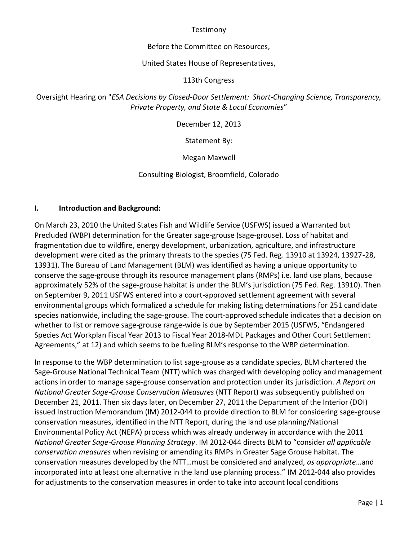#### **Testimony**

#### Before the Committee on Resources,

#### United States House of Representatives,

#### 113th Congress

# Oversight Hearing on "*ESA Decisions by Closed-Door Settlement: Short-Changing Science, Transparency, Private Property, and State & Local Economies*"

December 12, 2013

Statement By:

Megan Maxwell

Consulting Biologist, Broomfield, Colorado

### **I. Introduction and Background:**

On March 23, 2010 the United States Fish and Wildlife Service (USFWS) issued a Warranted but Precluded (WBP) determination for the Greater sage-grouse (sage-grouse). Loss of habitat and fragmentation due to wildfire, energy development, urbanization, agriculture, and infrastructure development were cited as the primary threats to the species (75 Fed. Reg. 13910 at 13924, 13927-28, 13931). The Bureau of Land Management (BLM) was identified as having a unique opportunity to conserve the sage-grouse through its resource management plans (RMPs) i.e. land use plans, because approximately 52% of the sage-grouse habitat is under the BLM's jurisdiction (75 Fed. Reg. 13910). Then on September 9, 2011 USFWS entered into a court-approved settlement agreement with several environmental groups which formalized a schedule for making listing determinations for 251 candidate species nationwide, including the sage-grouse. The court-approved schedule indicates that a decision on whether to list or remove sage-grouse range-wide is due by September 2015 (USFWS, "Endangered Species Act Workplan Fiscal Year 2013 to Fiscal Year 2018-MDL Packages and Other Court Settlement Agreements," at 12) and which seems to be fueling BLM's response to the WBP determination.

In response to the WBP determination to list sage-grouse as a candidate species, BLM chartered the Sage-Grouse National Technical Team (NTT) which was charged with developing policy and management actions in order to manage sage-grouse conservation and protection under its jurisdiction. *A Report on National Greater Sage-Grouse Conservation Measures* (NTT Report) was subsequently published on December 21, 2011. Then six days later, on December 27, 2011 the Department of the Interior (DOI) issued Instruction Memorandum (IM) 2012-044 to provide direction to BLM for considering sage-grouse conservation measures, identified in the NTT Report, during the land use planning/National Environmental Policy Act (NEPA) process which was already underway in accordance with the 2011 *National Greater Sage-Grouse Planning Strategy*. IM 2012-044 directs BLM to "consider *all applicable conservation measures* when revising or amending its RMPs in Greater Sage Grouse habitat. The conservation measures developed by the NTT…must be considered and analyzed, *as appropriate*…and incorporated into at least one alternative in the land use planning process." IM 2012-044 also provides for adjustments to the conservation measures in order to take into account local conditions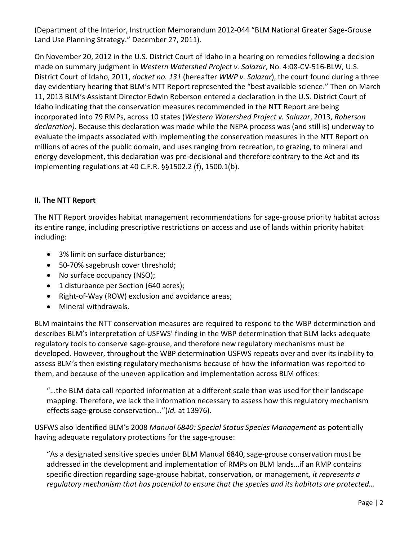(Department of the Interior, Instruction Memorandum 2012-044 "BLM National Greater Sage-Grouse Land Use Planning Strategy." December 27, 2011).

On November 20, 2012 in the U.S. District Court of Idaho in a hearing on remedies following a decision made on summary judgment in *Western Watershed Project v. Salazar*, No. 4:08-CV-516-BLW, U.S. District Court of Idaho, 2011, *docket no. 131* (hereafter *WWP v. Salazar*), the court found during a three day evidentiary hearing that BLM's NTT Report represented the "best available science." Then on March 11, 2013 BLM's Assistant Director Edwin Roberson entered a declaration in the U.S. District Court of Idaho indicating that the conservation measures recommended in the NTT Report are being incorporated into 79 RMPs, across 10 states (*Western Watershed Project v. Salazar*, 2013, *Roberson declaration).* Because this declaration was made while the NEPA process was (and still is) underway to evaluate the impacts associated with implementing the conservation measures in the NTT Report on millions of acres of the public domain, and uses ranging from recreation, to grazing, to mineral and energy development, this declaration was pre-decisional and therefore contrary to the Act and its implementing regulations at 40 C.F.R. §§1502.2 (f), 1500.1(b).

# **II. The NTT Report**

The NTT Report provides habitat management recommendations for sage-grouse priority habitat across its entire range, including prescriptive restrictions on access and use of lands within priority habitat including:

- 3% limit on surface disturbance;
- 50-70% sagebrush cover threshold;
- No surface occupancy (NSO);
- 1 disturbance per Section (640 acres);
- Right-of-Way (ROW) exclusion and avoidance areas;
- Mineral withdrawals.

BLM maintains the NTT conservation measures are required to respond to the WBP determination and describes BLM's interpretation of USFWS' finding in the WBP determination that BLM lacks adequate regulatory tools to conserve sage-grouse, and therefore new regulatory mechanisms must be developed. However, throughout the WBP determination USFWS repeats over and over its inability to assess BLM's then existing regulatory mechanisms because of how the information was reported to them, and because of the uneven application and implementation across BLM offices:

"…the BLM data call reported information at a different scale than was used for their landscape mapping. Therefore, we lack the information necessary to assess how this regulatory mechanism effects sage-grouse conservation…"(*Id.* at 13976).

USFWS also identified BLM's 2008 *Manual 6840: Special Status Species Management* as potentially having adequate regulatory protections for the sage-grouse:

"As a designated sensitive species under BLM Manual 6840, sage-grouse conservation must be addressed in the development and implementation of RMPs on BLM lands…if an RMP contains specific direction regarding sage-grouse habitat, conservation, or management*, it represents a regulatory mechanism that has potential to ensure that the species and its habitats are protected…*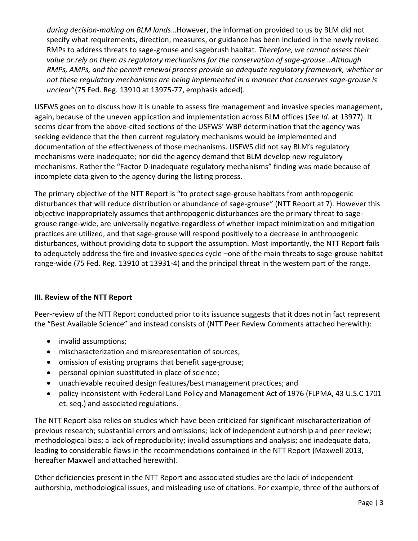*during decision-making on BLM lands*…However, the information provided to us by BLM did not specify what requirements, direction, measures, or guidance has been included in the newly revised RMPs to address threats to sage-grouse and sagebrush habitat. *Therefore, we cannot assess their value or rely on them as regulatory mechanisms for the conservation of sage-grouse…Although RMPs, AMPs, and the permit renewal process provide an adequate regulatory framework, whether or not these regulatory mechanisms are being implemented in a manner that conserves sage-grouse is unclear*"(75 Fed. Reg. 13910 at 13975-77, emphasis added).

USFWS goes on to discuss how it is unable to assess fire management and invasive species management, again, because of the uneven application and implementation across BLM offices (*See Id*. at 13977). It seems clear from the above-cited sections of the USFWS' WBP determination that the agency was seeking evidence that the then current regulatory mechanisms would be implemented and documentation of the effectiveness of those mechanisms. USFWS did not say BLM's regulatory mechanisms were inadequate; nor did the agency demand that BLM develop new regulatory mechanisms. Rather the "Factor D-inadequate regulatory mechanisms" finding was made because of incomplete data given to the agency during the listing process.

The primary objective of the NTT Report is "to protect sage-grouse habitats from anthropogenic disturbances that will reduce distribution or abundance of sage-grouse" (NTT Report at 7). However this objective inappropriately assumes that anthropogenic disturbances are the primary threat to sagegrouse range-wide, are universally negative-regardless of whether impact minimization and mitigation practices are utilized, and that sage-grouse will respond positively to a decrease in anthropogenic disturbances, without providing data to support the assumption. Most importantly, the NTT Report fails to adequately address the fire and invasive species cycle –one of the main threats to sage-grouse habitat range-wide (75 Fed. Reg. 13910 at 13931-4) and the principal threat in the western part of the range.

# **III. Review of the NTT Report**

Peer-review of the NTT Report conducted prior to its issuance suggests that it does not in fact represent the "Best Available Science" and instead consists of (NTT Peer Review Comments attached herewith):

- invalid assumptions;
- mischaracterization and misrepresentation of sources;
- omission of existing programs that benefit sage-grouse;
- personal opinion substituted in place of science;
- unachievable required design features/best management practices; and
- policy inconsistent with Federal Land Policy and Management Act of 1976 (FLPMA, 43 U.S.C 1701 et. seq.) and associated regulations.

The NTT Report also relies on studies which have been criticized for significant mischaracterization of previous research; substantial errors and omissions; lack of independent authorship and peer review; methodological bias; a lack of reproducibility; invalid assumptions and analysis; and inadequate data, leading to considerable flaws in the recommendations contained in the NTT Report (Maxwell 2013, hereafter Maxwell and attached herewith).

Other deficiencies present in the NTT Report and associated studies are the lack of independent authorship, methodological issues, and misleading use of citations. For example, three of the authors of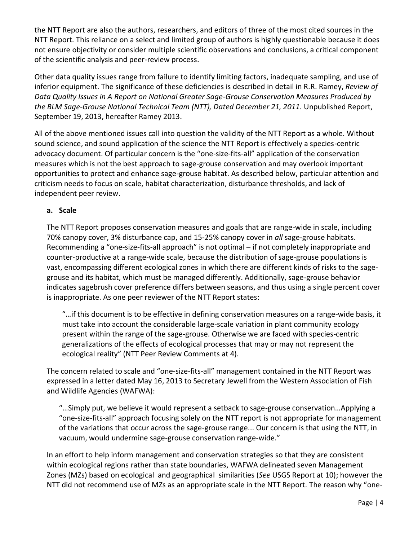the NTT Report are also the authors, researchers, and editors of three of the most cited sources in the NTT Report. This reliance on a select and limited group of authors is highly questionable because it does not ensure objectivity or consider multiple scientific observations and conclusions, a critical component of the scientific analysis and peer-review process.

Other data quality issues range from failure to identify limiting factors, inadequate sampling, and use of inferior equipment. The significance of these deficiencies is described in detail in R.R. Ramey, *Review of Data Quality Issues in A Report on National Greater Sage-Grouse Conservation Measures Produced by the BLM Sage-Grouse National Technical Team (NTT), Dated December 21, 2011.* Unpublished Report, September 19, 2013, hereafter Ramey 2013.

All of the above mentioned issues call into question the validity of the NTT Report as a whole. Without sound science, and sound application of the science the NTT Report is effectively a species-centric advocacy document. Of particular concern is the "one-size-fits-all" application of the conservation measures which is not the best approach to sage-grouse conservation and may overlook important opportunities to protect and enhance sage-grouse habitat. As described below, particular attention and criticism needs to focus on scale, habitat characterization, disturbance thresholds, and lack of independent peer review.

#### **a. Scale**

The NTT Report proposes conservation measures and goals that are range-wide in scale, including 70% canopy cover, 3% disturbance cap, and 15-25% canopy cover in *all* sage-grouse habitats. Recommending a "one-size-fits-all approach" is not optimal – if not completely inappropriate and counter-productive at a range-wide scale, because the distribution of sage-grouse populations is vast, encompassing different ecological zones in which there are different kinds of risks to the sagegrouse and its habitat, which must be managed differently. Additionally, sage-grouse behavior indicates sagebrush cover preference differs between seasons, and thus using a single percent cover is inappropriate. As one peer reviewer of the NTT Report states:

"…if this document is to be effective in defining conservation measures on a range-wide basis, it must take into account the considerable large-scale variation in plant community ecology present within the range of the sage-grouse. Otherwise we are faced with species-centric generalizations of the effects of ecological processes that may or may not represent the ecological reality" (NTT Peer Review Comments at 4).

The concern related to scale and "one-size-fits-all" management contained in the NTT Report was expressed in a letter dated May 16, 2013 to Secretary Jewell from the Western Association of Fish and Wildlife Agencies (WAFWA):

"…Simply put, we believe it would represent a setback to sage-grouse conservation…Applying a "one-size-fits-all" approach focusing solely on the NTT report is not appropriate for management of the variations that occur across the sage-grouse range... Our concern is that using the NTT, in vacuum, would undermine sage-grouse conservation range-wide."

In an effort to help inform management and conservation strategies so that they are consistent within ecological regions rather than state boundaries, WAFWA delineated seven Management Zones (MZs) based on ecological and geographical similarities (*See* USGS Report at 10); however the NTT did not recommend use of MZs as an appropriate scale in the NTT Report. The reason why "one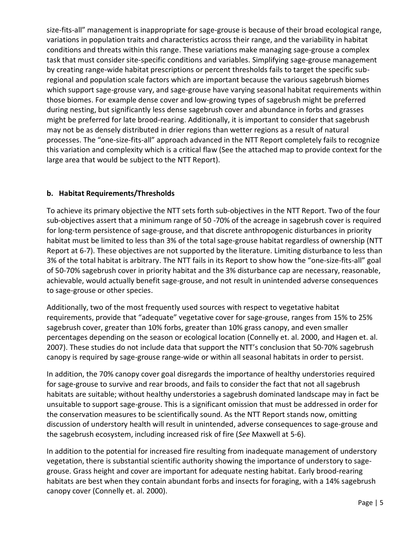size-fits-all" management is inappropriate for sage-grouse is because of their broad ecological range, variations in population traits and characteristics across their range, and the variability in habitat conditions and threats within this range. These variations make managing sage-grouse a complex task that must consider site-specific conditions and variables. Simplifying sage-grouse management by creating range-wide habitat prescriptions or percent thresholds fails to target the specific subregional and population scale factors which are important because the various sagebrush biomes which support sage-grouse vary, and sage-grouse have varying seasonal habitat requirements within those biomes. For example dense cover and low-growing types of sagebrush might be preferred during nesting, but significantly less dense sagebrush cover and abundance in forbs and grasses might be preferred for late brood-rearing. Additionally, it is important to consider that sagebrush may not be as densely distributed in drier regions than wetter regions as a result of natural processes. The "one-size-fits-all" approach advanced in the NTT Report completely fails to recognize this variation and complexity which is a critical flaw (See the attached map to provide context for the large area that would be subject to the NTT Report).

# **b. Habitat Requirements/Thresholds**

To achieve its primary objective the NTT sets forth sub-objectives in the NTT Report. Two of the four sub-objectives assert that a minimum range of 50 -70% of the acreage in sagebrush cover is required for long-term persistence of sage-grouse, and that discrete anthropogenic disturbances in priority habitat must be limited to less than 3% of the total sage-grouse habitat regardless of ownership (NTT Report at 6-7). These objectives are not supported by the literature. Limiting disturbance to less than 3% of the total habitat is arbitrary. The NTT fails in its Report to show how the "one-size-fits-all" goal of 50-70% sagebrush cover in priority habitat and the 3% disturbance cap are necessary, reasonable, achievable, would actually benefit sage-grouse, and not result in unintended adverse consequences to sage-grouse or other species.

Additionally, two of the most frequently used sources with respect to vegetative habitat requirements, provide that "adequate" vegetative cover for sage-grouse, ranges from 15% to 25% sagebrush cover, greater than 10% forbs, greater than 10% grass canopy, and even smaller percentages depending on the season or ecological location (Connelly et. al. 2000, and Hagen et. al. 2007). These studies do not include data that support the NTT's conclusion that 50-70% sagebrush canopy is required by sage-grouse range-wide or within all seasonal habitats in order to persist.

In addition, the 70% canopy cover goal disregards the importance of healthy understories required for sage-grouse to survive and rear broods, and fails to consider the fact that not all sagebrush habitats are suitable; without healthy understories a sagebrush dominated landscape may in fact be unsuitable to support sage-grouse. This is a significant omission that must be addressed in order for the conservation measures to be scientifically sound. As the NTT Report stands now, omitting discussion of understory health will result in unintended, adverse consequences to sage-grouse and the sagebrush ecosystem, including increased risk of fire (*See* Maxwell at 5-6).

In addition to the potential for increased fire resulting from inadequate management of understory vegetation, there is substantial scientific authority showing the importance of understory to sagegrouse. Grass height and cover are important for adequate nesting habitat. Early brood-rearing habitats are best when they contain abundant forbs and insects for foraging, with a 14% sagebrush canopy cover (Connelly et. al. 2000).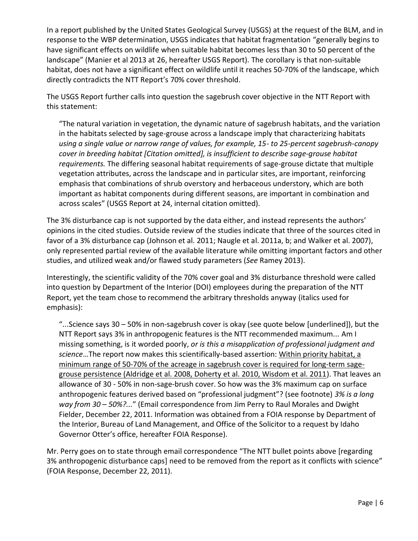In a report published by the United States Geological Survey (USGS) at the request of the BLM, and in response to the WBP determination, USGS indicates that habitat fragmentation "generally begins to have significant effects on wildlife when suitable habitat becomes less than 30 to 50 percent of the landscape" (Manier et al 2013 at 26, hereafter USGS Report). The corollary is that non-suitable habitat, does not have a significant effect on wildlife until it reaches 50-70% of the landscape, which directly contradicts the NTT Report's 70% cover threshold.

The USGS Report further calls into question the sagebrush cover objective in the NTT Report with this statement:

"The natural variation in vegetation, the dynamic nature of sagebrush habitats, and the variation in the habitats selected by sage-grouse across a landscape imply that characterizing habitats *using a single value or narrow range of values, for example, 15- to 25-percent sagebrush-canopy cover in breeding habitat [Citation omitted], is insufficient to describe sage-grouse habitat requirements.* The differing seasonal habitat requirements of sage-grouse dictate that multiple vegetation attributes, across the landscape and in particular sites, are important, reinforcing emphasis that combinations of shrub overstory and herbaceous understory, which are both important as habitat components during different seasons, are important in combination and across scales" (USGS Report at 24, internal citation omitted).

The 3% disturbance cap is not supported by the data either, and instead represents the authors' opinions in the cited studies. Outside review of the studies indicate that three of the sources cited in favor of a 3% disturbance cap (Johnson et al. 2011; Naugle et al. 2011a, b; and Walker et al. 2007), only represented partial review of the available literature while omitting important factors and other studies, and utilized weak and/or flawed study parameters (*See* Ramey 2013).

Interestingly, the scientific validity of the 70% cover goal and 3% disturbance threshold were called into question by Department of the Interior (DOI) employees during the preparation of the NTT Report, yet the team chose to recommend the arbitrary thresholds anyway (italics used for emphasis):

"...Science says 30 – 50% in non-sagebrush cover is okay (see quote below [underlined]), but the NTT Report says 3% in anthropogenic features is the NTT recommended maximum... Am I missing something, is it worded poorly, *or is this a misapplication of professional judgment and science*…The report now makes this scientifically-based assertion: Within priority habitat, a minimum range of 50-70% of the acreage in sagebrush cover is required for long-term sagegrouse persistence (Aldridge et al. 2008, Doherty et al. 2010, Wisdom et al. 2011). That leaves an allowance of 30 - 50% in non-sage-brush cover. So how was the 3% maximum cap on surface anthropogenic features derived based on "professional judgment"? (see footnote) *3% is a long way from 30 – 50%?...*" (Email correspondence from Jim Perry to Raul Morales and Dwight Fielder, December 22, 2011. Information was obtained from a FOIA response by Department of the Interior, Bureau of Land Management, and Office of the Solicitor to a request by Idaho Governor Otter's office, hereafter FOIA Response).

Mr. Perry goes on to state through email correspondence "The NTT bullet points above [regarding 3% anthropogenic disturbance caps] need to be removed from the report as it conflicts with science" (FOIA Response, December 22, 2011).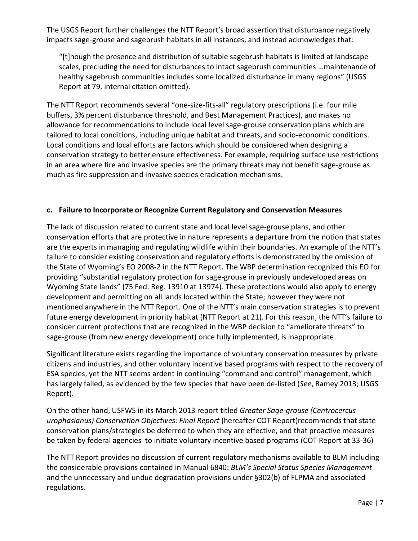The USGS Report further challenges the NTT Report's broad assertion that disturbance negatively impacts sage-grouse and sagebrush habitats in all instances, and instead acknowledges that:

"[t]hough the presence and distribution of suitable sagebrush habitats is limited at landscape scales, precluding the need for disturbances to intact sagebrush communities …maintenance of healthy sagebrush communities includes some localized disturbance in many regions" (USGS Report at 79, internal citation omitted).

The NTT Report recommends several "one-size-fits-all" regulatory prescriptions (i.e. four mile buffers, 3% percent disturbance threshold, and Best Management Practices), and makes no allowance for recommendations to include local level sage-grouse conservation plans which are tailored to local conditions, including unique habitat and threats, and socio-economic conditions. Local conditions and local efforts are factors which should be considered when designing a conservation strategy to better ensure effectiveness. For example, requiring surface use restrictions in an area where fire and invasive species are the primary threats may not benefit sage-grouse as much as fire suppression and invasive species eradication mechanisms.

# **c. Failure to Incorporate or Recognize Current Regulatory and Conservation Measures**

The lack of discussion related to current state and local level sage-grouse plans, and other conservation efforts that are protective in nature represents a departure from the notion that states are the experts in managing and regulating wildlife within their boundaries. An example of the NTT's failure to consider existing conservation and regulatory efforts is demonstrated by the omission of the State of Wyoming's EO 2008-2 in the NTT Report. The WBP determination recognized this EO for providing "substantial regulatory protection for sage-grouse in previously undeveloped areas on Wyoming State lands" (75 Fed. Reg. 13910 at 13974). These protections would also apply to energy development and permitting on all lands located within the State; however they were not mentioned anywhere in the NTT Report. One of the NTT's main conservation strategies is to prevent future energy development in priority habitat (NTT Report at 21). For this reason, the NTT's failure to consider current protections that are recognized in the WBP decision to "ameliorate threats" to sage-grouse (from new energy development) once fully implemented, is inappropriate.

Significant literature exists regarding the importance of voluntary conservation measures by private citizens and industries, and other voluntary incentive based programs with respect to the recovery of ESA species, yet the NTT seems ardent in continuing "command and control" management, which has largely failed, as evidenced by the few species that have been de-listed (*See*, Ramey 2013; USGS Report).

On the other hand, USFWS in its March 2013 report titled *Greater Sage-grouse (Centrocercus urophasianus) Conservation Objectives: Final Report* (hereafter COT Report)recommends that state conservation plans/strategies be deferred to when they are effective, and that proactive measures be taken by federal agencies to initiate voluntary incentive based programs (COT Report at 33-36)

The NTT Report provides no discussion of current regulatory mechanisms available to BLM including the considerable provisions contained in Manual 6840: *BLM's Special Status Species Management* and the unnecessary and undue degradation provisions under §302(b) of FLPMA and associated regulations.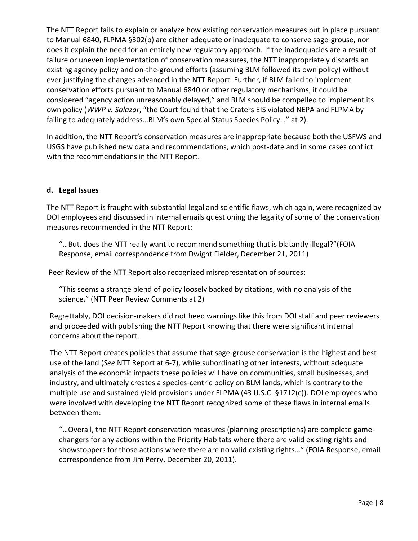The NTT Report fails to explain or analyze how existing conservation measures put in place pursuant to Manual 6840, FLPMA §302(b) are either adequate or inadequate to conserve sage-grouse, nor does it explain the need for an entirely new regulatory approach. If the inadequacies are a result of failure or uneven implementation of conservation measures, the NTT inappropriately discards an existing agency policy and on-the-ground efforts (assuming BLM followed its own policy) without ever justifying the changes advanced in the NTT Report. Further, if BLM failed to implement conservation efforts pursuant to Manual 6840 or other regulatory mechanisms, it could be considered "agency action unreasonably delayed," and BLM should be compelled to implement its own policy (*WWP v. Salazar*, "the Court found that the Craters EIS violated NEPA and FLPMA by failing to adequately address…BLM's own Special Status Species Policy…" at 2).

In addition, the NTT Report's conservation measures are inappropriate because both the USFWS and USGS have published new data and recommendations, which post-date and in some cases conflict with the recommendations in the NTT Report.

### **d. Legal Issues**

The NTT Report is fraught with substantial legal and scientific flaws, which again, were recognized by DOI employees and discussed in internal emails questioning the legality of some of the conservation measures recommended in the NTT Report:

"…But, does the NTT really want to recommend something that is blatantly illegal?"(FOIA Response, email correspondence from Dwight Fielder, December 21, 2011)

Peer Review of the NTT Report also recognized misrepresentation of sources:

"This seems a strange blend of policy loosely backed by citations, with no analysis of the science." (NTT Peer Review Comments at 2)

Regrettably, DOI decision-makers did not heed warnings like this from DOI staff and peer reviewers and proceeded with publishing the NTT Report knowing that there were significant internal concerns about the report.

The NTT Report creates policies that assume that sage-grouse conservation is the highest and best use of the land (*See* NTT Report at 6-7), while subordinating other interests, without adequate analysis of the economic impacts these policies will have on communities, small businesses, and industry, and ultimately creates a species-centric policy on BLM lands, which is contrary to the multiple use and sustained yield provisions under FLPMA (43 U.S.C. §1712(c)). DOI employees who were involved with developing the NTT Report recognized some of these flaws in internal emails between them:

"…Overall, the NTT Report conservation measures (planning prescriptions) are complete gamechangers for any actions within the Priority Habitats where there are valid existing rights and showstoppers for those actions where there are no valid existing rights…" (FOIA Response, email correspondence from Jim Perry, December 20, 2011).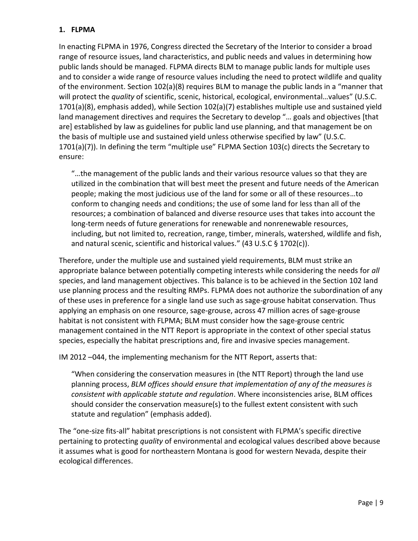# **1. FLPMA**

In enacting FLPMA in 1976, Congress directed the Secretary of the Interior to consider a broad range of resource issues, land characteristics, and public needs and values in determining how public lands should be managed. FLPMA directs BLM to manage public lands for multiple uses and to consider a wide range of resource values including the need to protect wildlife and quality of the environment. Section 102(a)(8) requires BLM to manage the public lands in a "manner that will protect the *quality* of scientific, scenic, historical, ecological, environmental...values" (U.S.C. 1701(a)(8), emphasis added), while Section 102(a)(7) establishes multiple use and sustained yield land management directives and requires the Secretary to develop "… goals and objectives [that are] established by law as guidelines for public land use planning, and that management be on the basis of multiple use and sustained yield unless otherwise specified by law" (U.S.C. 1701(a)(7)). In defining the term "multiple use" FLPMA Section 103(c) directs the Secretary to ensure:

"…the management of the public lands and their various resource values so that they are utilized in the combination that will best meet the present and future needs of the American people; making the most judicious use of the land for some or all of these resources…to conform to changing needs and conditions; the use of some land for less than all of the resources; a combination of balanced and diverse resource uses that takes into account the long-term needs of future generations for renewable and nonrenewable resources, including, but not limited to, recreation, range, timber, minerals, watershed, wildlife and fish, and natural scenic, scientific and historical values." (43 U.S.C § 1702(c)).

Therefore, under the multiple use and sustained yield requirements, BLM must strike an appropriate balance between potentially competing interests while considering the needs for *all*  species, and land management objectives. This balance is to be achieved in the Section 102 land use planning process and the resulting RMPs. FLPMA does not authorize the subordination of any of these uses in preference for a single land use such as sage-grouse habitat conservation. Thus applying an emphasis on one resource, sage-grouse, across 47 million acres of sage-grouse habitat is not consistent with FLPMA; BLM must consider how the sage-grouse centric management contained in the NTT Report is appropriate in the context of other special status species, especially the habitat prescriptions and, fire and invasive species management.

IM 2012 –044, the implementing mechanism for the NTT Report, asserts that:

"When considering the conservation measures in (the NTT Report) through the land use planning process, *BLM offices should ensure that implementation of any of the measures is consistent with applicable statute and regulation*. Where inconsistencies arise, BLM offices should consider the conservation measure(s) to the fullest extent consistent with such statute and regulation" (emphasis added).

The "one-size fits-all" habitat prescriptions is not consistent with FLPMA's specific directive pertaining to protecting *quality* of environmental and ecological values described above because it assumes what is good for northeastern Montana is good for western Nevada, despite their ecological differences.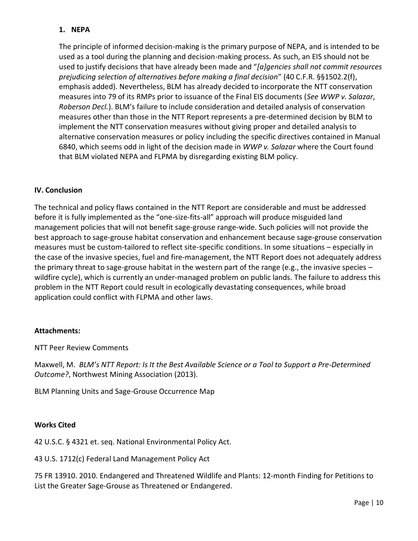# **1. NEPA**

The principle of informed decision-making is the primary purpose of NEPA, and is intended to be used as a tool during the planning and decision-making process. As such, an EIS should not be used to justify decisions that have already been made and "*[a]gencies shall not commit resources prejudicing selection of alternatives before making a final decision*" (40 C.F.R. §§1502.2(f), emphasis added). Nevertheless, BLM has already decided to incorporate the NTT conservation measures into 79 of its RMPs prior to issuance of the Final EIS documents (*See WWP v. Salazar*, *Roberson Decl.*). BLM's failure to include consideration and detailed analysis of conservation measures other than those in the NTT Report represents a pre-determined decision by BLM to implement the NTT conservation measures without giving proper and detailed analysis to alternative conservation measures or policy including the specific directives contained in Manual 6840, which seems odd in light of the decision made in *WWP v. Salazar* where the Court found that BLM violated NEPA and FLPMA by disregarding existing BLM policy.

### **IV. Conclusion**

The technical and policy flaws contained in the NTT Report are considerable and must be addressed before it is fully implemented as the "one-size-fits-all" approach will produce misguided land management policies that will not benefit sage-grouse range-wide. Such policies will not provide the best approach to sage-grouse habitat conservation and enhancement because sage-grouse conservation measures must be custom-tailored to reflect site-specific conditions. In some situations – especially in the case of the invasive species, fuel and fire-management, the NTT Report does not adequately address the primary threat to sage-grouse habitat in the western part of the range (e.g., the invasive species – wildfire cycle), which is currently an under-managed problem on public lands. The failure to address this problem in the NTT Report could result in ecologically devastating consequences, while broad application could conflict with FLPMA and other laws.

#### **Attachments:**

NTT Peer Review Comments

Maxwell, M. *BLM's NTT Report: Is It the Best Available Science or a Tool to Support a Pre-Determined Outcome?*, Northwest Mining Association (2013).

BLM Planning Units and Sage-Grouse Occurrence Map

#### **Works Cited**

42 U.S.C. § 4321 et. seq. National Environmental Policy Act.

43 U.S. 1712(c) Federal Land Management Policy Act

75 FR 13910. 2010. Endangered and Threatened Wildlife and Plants: 12‐month Finding for Petitions to List the Greater Sage-Grouse as Threatened or Endangered.